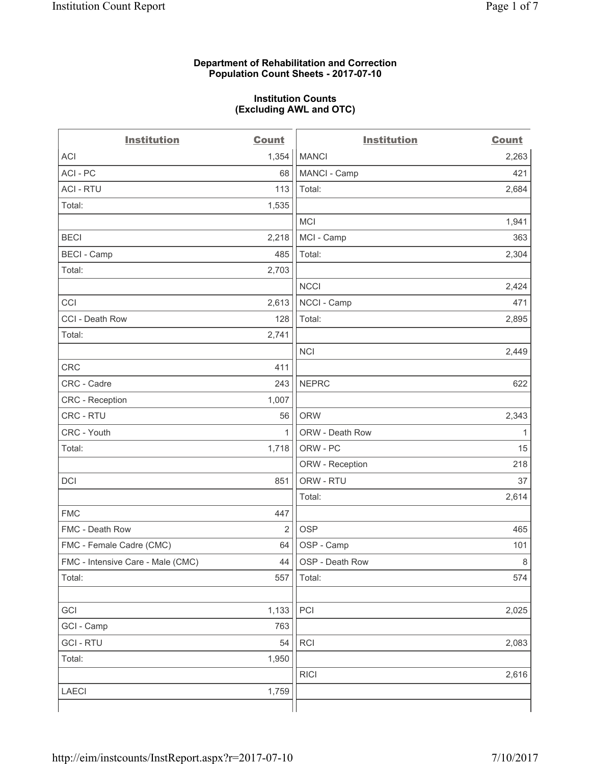### **Department of Rehabilitation and Correction Population Count Sheets - 2017-07-10**

#### **Institution Counts (Excluding AWL and OTC)**

 $-$ 

| <b>Institution</b>                | <b>Count</b>   | <b>Institution</b> | <b>Count</b> |
|-----------------------------------|----------------|--------------------|--------------|
| <b>ACI</b>                        | 1,354          | <b>MANCI</b>       | 2,263        |
| ACI - PC                          | 68             | MANCI - Camp       | 421          |
| <b>ACI - RTU</b>                  | 113            | Total:             | 2,684        |
| Total:                            | 1,535          |                    |              |
|                                   |                | <b>MCI</b>         | 1,941        |
| <b>BECI</b>                       | 2,218          | MCI - Camp         | 363          |
| <b>BECI - Camp</b>                | 485            | Total:             | 2,304        |
| Total:                            | 2,703          |                    |              |
|                                   |                | <b>NCCI</b>        | 2,424        |
| CCI                               | 2,613          | NCCI - Camp        | 471          |
| CCI - Death Row                   | 128            | Total:             | 2,895        |
| Total:                            | 2,741          |                    |              |
|                                   |                | <b>NCI</b>         | 2,449        |
| <b>CRC</b>                        | 411            |                    |              |
| CRC - Cadre                       | 243            | <b>NEPRC</b>       | 622          |
| <b>CRC</b> - Reception            | 1,007          |                    |              |
| CRC - RTU                         | 56             | <b>ORW</b>         | 2,343        |
| CRC - Youth                       | 1              | ORW - Death Row    | 1            |
| Total:                            | 1,718          | ORW - PC           | 15           |
|                                   |                | ORW - Reception    | 218          |
| DCI                               | 851            | ORW - RTU          | 37           |
|                                   |                | Total:             | 2,614        |
| <b>FMC</b>                        | 447            |                    |              |
| FMC - Death Row                   | $\overline{2}$ | <b>OSP</b>         | 465          |
| FMC - Female Cadre (CMC)          | 64             | OSP - Camp         | 101          |
| FMC - Intensive Care - Male (CMC) | 44             | OSP - Death Row    | 8            |
| Total:                            | 557            | Total:             | 574          |
|                                   |                |                    |              |
| GCI                               | 1,133          | PCI                | 2,025        |
| GCI - Camp                        | 763            |                    |              |
| <b>GCI-RTU</b>                    | 54             | RCI                | 2,083        |
| Total:                            | 1,950          |                    |              |
|                                   |                | <b>RICI</b>        | 2,616        |
| LAECI                             | 1,759          |                    |              |
|                                   |                |                    |              |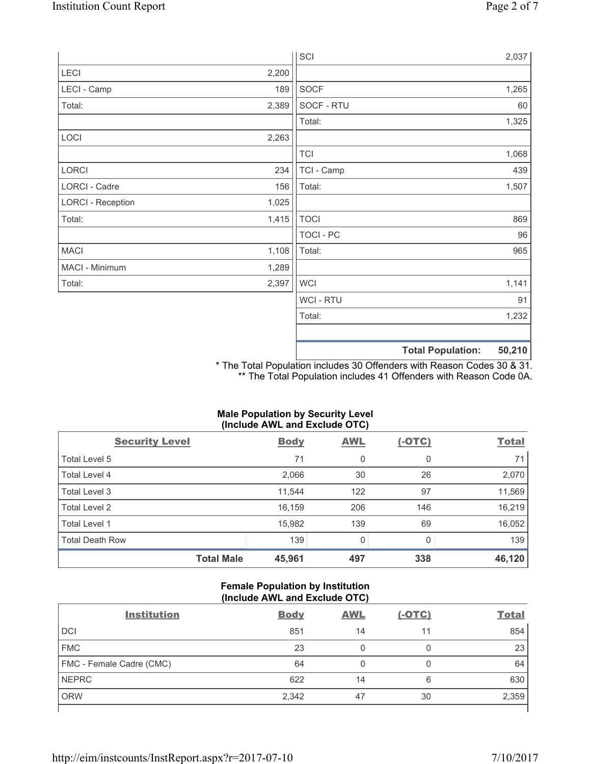|                          |       | SCI              |                          | 2,037  |
|--------------------------|-------|------------------|--------------------------|--------|
| LECI                     | 2,200 |                  |                          |        |
| LECI - Camp              | 189   | SOCF             |                          | 1,265  |
| Total:                   | 2,389 | SOCF - RTU       |                          | 60     |
|                          |       | Total:           |                          | 1,325  |
| LOCI                     | 2,263 |                  |                          |        |
|                          |       | <b>TCI</b>       |                          | 1,068  |
| LORCI                    | 234   | TCI - Camp       |                          | 439    |
| LORCI - Cadre            | 156   | Total:           |                          | 1,507  |
| <b>LORCI - Reception</b> | 1,025 |                  |                          |        |
| Total:                   | 1,415 | <b>TOCI</b>      |                          | 869    |
|                          |       | <b>TOCI - PC</b> |                          | 96     |
| <b>MACI</b>              | 1,108 | Total:           |                          | 965    |
| MACI - Minimum           | 1,289 |                  |                          |        |
| Total:                   | 2,397 | <b>WCI</b>       |                          | 1,141  |
|                          |       | <b>WCI-RTU</b>   |                          | 91     |
|                          |       | Total:           |                          | 1,232  |
|                          |       |                  |                          |        |
|                          |       |                  | <b>Total Population:</b> | 50,210 |

\* The Total Population includes 30 Offenders with Reason Codes 30 & 31. \*\* The Total Population includes 41 Offenders with Reason Code 0A.

## **Male Population by Security Level (Include AWL and Exclude OTC)**

| $\mathbf{v}$<br><b>Security Level</b> | <b>Body</b> | $\mathbf{r}$<br><b>AWL</b> | $(-OTC)$     | <b>Total</b> |
|---------------------------------------|-------------|----------------------------|--------------|--------------|
| Total Level 5                         | 71          | 0                          | 0            | 71           |
| Total Level 4                         | 2,066       | 30                         | 26           | 2,070        |
| Total Level 3                         | 11,544      | 122                        | 97           | 11,569       |
| Total Level 2                         | 16,159      | 206                        | 146          | 16,219       |
| <b>Total Level 1</b>                  | 15,982      | 139                        | 69           | 16,052       |
| <b>Total Death Row</b>                | 139         | $\Omega$                   | <sup>0</sup> | 139          |
| <b>Total Male</b>                     | 45,961      | 497                        | 338          | 46,120       |

### **Female Population by Institution (Include AWL and Exclude OTC)**

| <b>Institution</b>       | <b>Body</b> | <b>AWL</b> | <u>(-OTC)</u> | <b>Total</b> |
|--------------------------|-------------|------------|---------------|--------------|
| <b>DCI</b>               | 851         | 14         | 11            | 854          |
| <b>FMC</b>               | 23          | 0          | 0             | 23           |
| FMC - Female Cadre (CMC) | 64          | 0          |               | 64           |
| <b>NEPRC</b>             | 622         | 14         | 6             | 630          |
| <b>ORW</b>               | 2,342       | 47         | 30            | 2,359        |
|                          |             |            |               |              |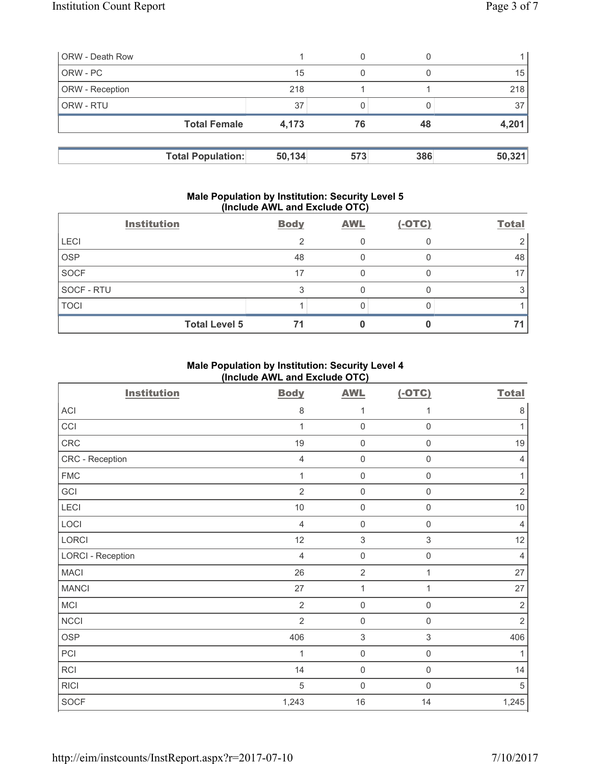| <b>ORW</b> - Death Row   |        | 0   |     |        |
|--------------------------|--------|-----|-----|--------|
| ORW - PC                 | 15     | 0   |     | 15     |
| ORW - Reception          | 218    |     |     | 218    |
| ORW - RTU                | 37     |     |     | 37     |
| <b>Total Female</b>      | 4,173  | 76  | 48  | 4,201  |
|                          |        |     |     |        |
| <b>Total Population:</b> | 50,134 | 573 | 386 | 50,321 |

#### **Male Population by Institution: Security Level 5 (Include AWL and Exclude OTC)**

|             | <b>Institution</b>   | <b>Body</b> | <b>AWL</b> | $(-OTC)$ | <b>Total</b> |
|-------------|----------------------|-------------|------------|----------|--------------|
| <b>LECI</b> |                      | ◠           |            |          |              |
| <b>OSP</b>  |                      | 48          |            |          | 48           |
| SOCF        |                      | 17          |            |          | 17           |
| SOCF - RTU  |                      |             |            |          |              |
| <b>TOCI</b> |                      |             |            |          |              |
|             | <b>Total Level 5</b> | 71          |            |          | 71           |

## **Male Population by Institution: Security Level 4 (Include AWL and Exclude OTC)**

| <b>Institution</b>       | <b>Body</b>    | <b>AWL</b>          | $(-OTC)$         | <b>Total</b>   |
|--------------------------|----------------|---------------------|------------------|----------------|
| ACI                      | 8              | 1                   | 1                | 8              |
| CCI                      | $\mathbf{1}$   | $\mathsf{O}\xspace$ | $\mathbf 0$      | 1              |
| CRC                      | 19             | $\mathsf{O}\xspace$ | $\mathsf 0$      | $19$           |
| CRC - Reception          | $\overline{4}$ | 0                   | $\boldsymbol{0}$ | 4              |
| <b>FMC</b>               | 1              | $\mathsf{O}\xspace$ | $\mathbf 0$      | 1              |
| GCI                      | $\overline{2}$ | $\mathsf{O}\xspace$ | $\mathbf 0$      | $\overline{2}$ |
| LECI                     | $10$           | 0                   | $\mathbf 0$      | 10             |
| LOCI                     | $\overline{4}$ | $\mathsf{O}\xspace$ | $\boldsymbol{0}$ | $\overline{4}$ |
| LORCI                    | 12             | $\mathsf 3$         | 3                | 12             |
| <b>LORCI - Reception</b> | $\overline{4}$ | $\mathsf{O}\xspace$ | $\mathsf 0$      | $\overline{4}$ |
| <b>MACI</b>              | 26             | $\sqrt{2}$          | 1                | 27             |
| <b>MANCI</b>             | 27             | $\mathbf{1}$        | 1                | 27             |
| MCI                      | $\overline{2}$ | $\mathsf{O}\xspace$ | $\mathbf 0$      | $\overline{2}$ |
| <b>NCCI</b>              | $\overline{2}$ | $\mathsf{O}\xspace$ | $\mathbf 0$      | $\overline{2}$ |
| <b>OSP</b>               | 406            | $\mathsf 3$         | $\,$ 3 $\,$      | 406            |
| PCI                      | $\mathbf{1}$   | $\mathsf{O}\xspace$ | $\mathbf 0$      | 1              |
| <b>RCI</b>               | 14             | $\mathsf{O}\xspace$ | $\mathbf 0$      | 14             |
| <b>RICI</b>              | 5              | $\mathsf{O}\xspace$ | $\mathbf 0$      | 5              |
| SOCF                     | 1,243          | 16                  | 14               | 1,245          |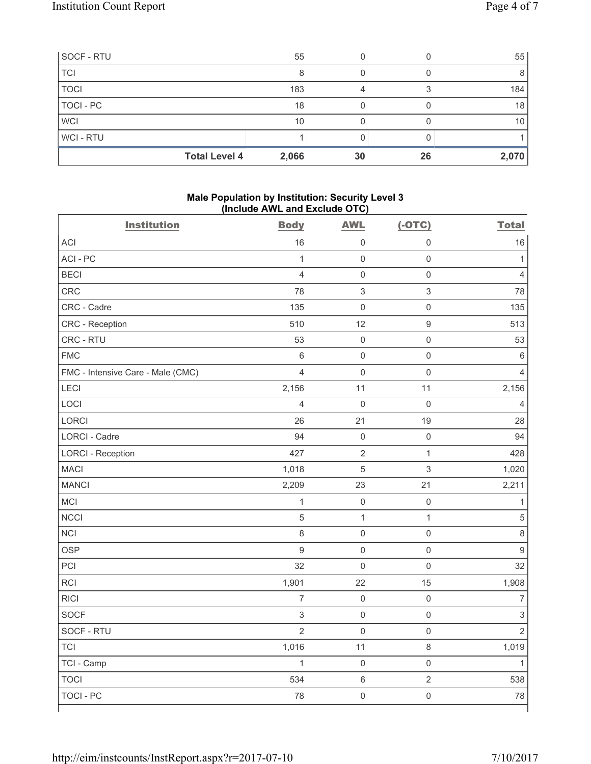| SOCF - RTU           | 55    |    |    | 55    |
|----------------------|-------|----|----|-------|
| <b>TCI</b>           |       |    |    |       |
| <b>TOCI</b>          | 183   |    |    | 184   |
| <b>TOCI - PC</b>     | 18    |    |    | 18    |
| <b>WCI</b>           | 10    |    |    | 10    |
| <b>WCI-RTU</b>       |       |    |    |       |
| <b>Total Level 4</b> | 2,066 | 30 | 26 | 2,070 |

#### **Male Population by Institution: Security Level 3 (Include AWL and Exclude OTC)**

| <b>Institution</b>                | <b>Body</b>      | <b>AWL</b>          | $(-OTC)$            | <b>Total</b>              |
|-----------------------------------|------------------|---------------------|---------------------|---------------------------|
| ACI                               | 16               | 0                   | $\mathsf{0}$        | 16                        |
| ACI - PC                          | $\mathbf{1}$     | $\mathsf 0$         | $\mathsf 0$         | $\mathbf{1}$              |
| <b>BECI</b>                       | $\overline{4}$   | $\mathsf{O}\xspace$ | $\mathsf{O}\xspace$ | 4                         |
| CRC                               | 78               | $\sqrt{3}$          | $\mathfrak{S}$      | 78                        |
| CRC - Cadre                       | 135              | $\mathsf{O}\xspace$ | $\mathsf{O}\xspace$ | 135                       |
| CRC - Reception                   | 510              | 12                  | $\mathsf 9$         | 513                       |
| CRC - RTU                         | 53               | 0                   | $\mathbf 0$         | 53                        |
| <b>FMC</b>                        | $\,6$            | $\mathsf{O}\xspace$ | $\mathsf{O}\xspace$ | 6                         |
| FMC - Intensive Care - Male (CMC) | $\overline{4}$   | $\mathsf{O}\xspace$ | $\mathsf 0$         | $\overline{4}$            |
| LECI                              | 2,156            | 11                  | 11                  | 2,156                     |
| LOCI                              | $\overline{4}$   | $\mathsf{O}\xspace$ | $\mathsf 0$         | $\overline{4}$            |
| <b>LORCI</b>                      | 26               | 21                  | 19                  | 28                        |
| LORCI - Cadre                     | 94               | $\mathsf{O}\xspace$ | $\mathsf{O}\xspace$ | 94                        |
| <b>LORCI - Reception</b>          | 427              | $\overline{2}$      | $\mathbf{1}$        | 428                       |
| <b>MACI</b>                       | 1,018            | 5                   | 3                   | 1,020                     |
| <b>MANCI</b>                      | 2,209            | 23                  | 21                  | 2,211                     |
| <b>MCI</b>                        | 1                | $\mathsf{O}\xspace$ | $\mathsf{O}\xspace$ | 1                         |
| <b>NCCI</b>                       | $\overline{5}$   | 1                   | $\mathbf{1}$        | $\overline{5}$            |
| <b>NCI</b>                        | $\,8\,$          | $\mathsf{O}\xspace$ | $\mathsf{O}\xspace$ | $\,8\,$                   |
| <b>OSP</b>                        | $\boldsymbol{9}$ | $\mathsf{O}\xspace$ | $\mathsf{O}\xspace$ | $9$                       |
| PCI                               | 32               | $\mathsf{O}\xspace$ | $\mathsf{O}\xspace$ | 32                        |
| <b>RCI</b>                        | 1,901            | 22                  | 15                  | 1,908                     |
| <b>RICI</b>                       | $\overline{7}$   | $\mathsf{O}\xspace$ | $\mathsf 0$         | $\overline{7}$            |
| <b>SOCF</b>                       | $\mathbf{3}$     | $\mathsf{O}\xspace$ | $\mathsf{O}\xspace$ | $\ensuremath{\mathsf{3}}$ |
| SOCF - RTU                        | $\overline{2}$   | $\mathsf{O}\xspace$ | $\mathbf 0$         | $\overline{2}$            |
| <b>TCI</b>                        | 1,016            | 11                  | $\,8\,$             | 1,019                     |
| TCI - Camp                        | $\mathbf{1}$     | $\mathsf{O}\xspace$ | $\mathsf 0$         | $\mathbf{1}$              |
| <b>TOCI</b>                       | 534              | $\,$ 6 $\,$         | $\overline{2}$      | 538                       |
| <b>TOCI - PC</b>                  | 78               | $\mathsf{O}\xspace$ | $\mathsf{O}\xspace$ | 78                        |

٦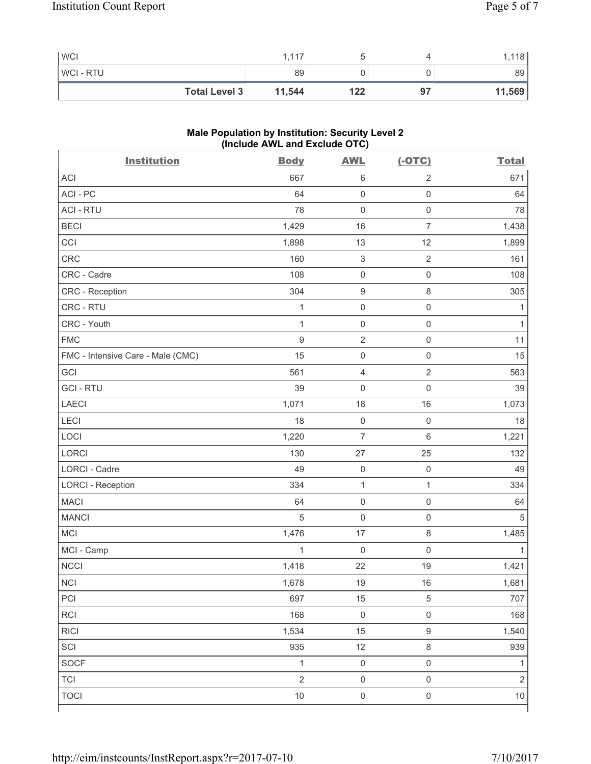| <b>WCI</b>           | 1.117  |     |    | .118   |
|----------------------|--------|-----|----|--------|
| <b>WCI-RTU</b>       | 89     |     |    | 89     |
| <b>Total Level 3</b> | 11,544 | 122 | 97 | 11,569 |

# **Male Population by Institution: Security Level 2 (Include AWL and Exclude OTC)**

| <b>Institution</b>                | <b>Body</b>    | <b>AWL</b>                | $(-OTC)$            | <b>Total</b>   |
|-----------------------------------|----------------|---------------------------|---------------------|----------------|
| <b>ACI</b>                        | 667            | $\,6\,$                   | $\overline{2}$      | 671            |
| ACI-PC                            | 64             | $\mathsf 0$               | $\mathsf{O}\xspace$ | 64             |
| <b>ACI - RTU</b>                  | 78             | $\mathbf 0$               | $\mathsf{O}\xspace$ | 78             |
| <b>BECI</b>                       | 1,429          | 16                        | $\overline{7}$      | 1,438          |
| CCI                               | 1,898          | 13                        | 12                  | 1,899          |
| <b>CRC</b>                        | 160            | $\ensuremath{\mathsf{3}}$ | $\sqrt{2}$          | 161            |
| CRC - Cadre                       | 108            | $\mathsf{O}\xspace$       | $\mathsf{O}\xspace$ | 108            |
| CRC - Reception                   | 304            | $\boldsymbol{9}$          | $\,8\,$             | 305            |
| CRC - RTU                         | $\mathbf 1$    | $\mathsf{O}\xspace$       | $\mathsf 0$         | 1              |
| CRC - Youth                       | $\mathbf{1}$   | $\mathsf 0$               | $\mathsf 0$         | $\mathbf{1}$   |
| <b>FMC</b>                        | 9              | $\sqrt{2}$                | $\mathsf 0$         | 11             |
| FMC - Intensive Care - Male (CMC) | 15             | $\mathsf{O}\xspace$       | $\mathsf 0$         | 15             |
| GCI                               | 561            | $\overline{4}$            | $\sqrt{2}$          | 563            |
| <b>GCI-RTU</b>                    | 39             | $\mathbf 0$               | $\mathsf 0$         | 39             |
| <b>LAECI</b>                      | 1,071          | 18                        | 16                  | 1,073          |
| <b>LECI</b>                       | 18             | $\mathsf{O}\xspace$       | $\mathsf 0$         | 18             |
| LOCI                              | 1,220          | $\overline{7}$            | $\,6\,$             | 1,221          |
| LORCI                             | 130            | 27                        | 25                  | 132            |
| <b>LORCI - Cadre</b>              | 49             | $\mathsf{O}\xspace$       | $\mathsf 0$         | 49             |
| <b>LORCI - Reception</b>          | 334            | $\mathbf{1}$              | $\mathbf{1}$        | 334            |
| <b>MACI</b>                       | 64             | $\mathsf 0$               | $\mathsf 0$         | 64             |
| <b>MANCI</b>                      | 5              | $\mathsf{O}\xspace$       | $\mathsf 0$         | 5              |
| <b>MCI</b>                        | 1,476          | 17                        | $\,8\,$             | 1,485          |
| MCI - Camp                        | $\mathbf{1}$   | $\mathbf 0$               | $\mathbf 0$         | 1              |
| <b>NCCI</b>                       | 1,418          | 22                        | 19                  | 1,421          |
| NCI                               | 1,678          | $19$                      | $16$                | 1,681          |
| PCI                               | 697            | 15                        | $\,$ 5 $\,$         | 707            |
| RCI                               | 168            | $\mathsf{O}\xspace$       | $\mathsf 0$         | 168            |
| <b>RICI</b>                       | 1,534          | 15                        | $\boldsymbol{9}$    | 1,540          |
| SCI                               | 935            | 12                        | $\,8\,$             | 939            |
| <b>SOCF</b>                       | $\mathbf{1}$   | $\mathsf{O}\xspace$       | $\mathsf 0$         | 1              |
| <b>TCI</b>                        | $\overline{2}$ | $\mathsf{O}\xspace$       | $\mathsf{O}\xspace$ | $\overline{2}$ |
| <b>TOCI</b>                       | $10$           | $\mathsf{O}\xspace$       | $\mathsf 0$         | $10$           |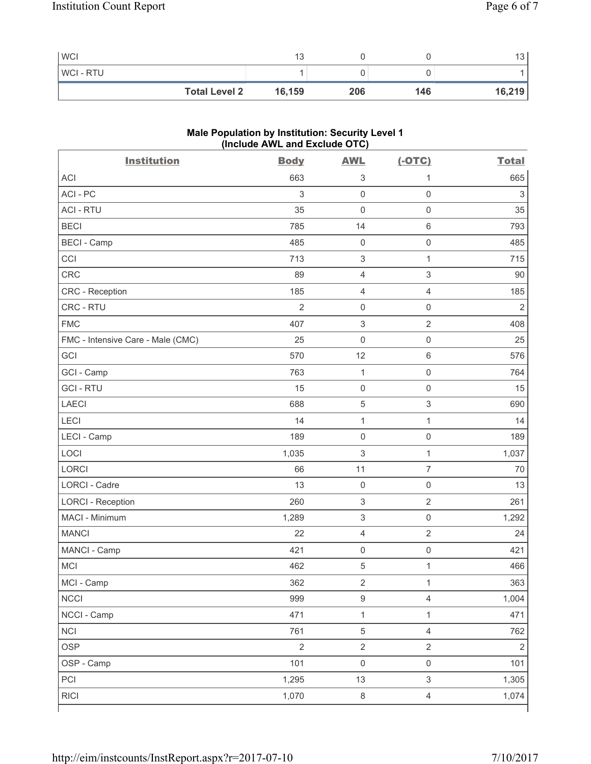| <b>WCI</b>           | 13     |     |     | . ت    |
|----------------------|--------|-----|-----|--------|
| WCI - RTU            |        |     |     |        |
| <b>Total Level 2</b> | 16,159 | 206 | 146 | 16,219 |

# **Male Population by Institution: Security Level 1 (Include AWL and Exclude OTC)**

| <b>Institution</b>                | <b>Body</b>    | <b>AWL</b>                | $(-OTC)$                  | <b>Total</b>   |
|-----------------------------------|----------------|---------------------------|---------------------------|----------------|
| <b>ACI</b>                        | 663            | $\sqrt{3}$                | 1                         | 665            |
| ACI-PC                            | 3              | $\mathbf 0$               | $\mathsf{O}\xspace$       | $\,$ 3 $\,$    |
| <b>ACI - RTU</b>                  | 35             | $\mathbf 0$               | $\mathsf{O}\xspace$       | 35             |
| <b>BECI</b>                       | 785            | 14                        | $6\,$                     | 793            |
| <b>BECI - Camp</b>                | 485            | $\mathsf{O}\xspace$       | $\mathbf 0$               | 485            |
| CCI                               | 713            | $\sqrt{3}$                | $\mathbf{1}$              | 715            |
| CRC                               | 89             | $\overline{4}$            | $\ensuremath{\mathsf{3}}$ | 90             |
| CRC - Reception                   | 185            | $\overline{4}$            | $\overline{4}$            | 185            |
| CRC - RTU                         | $\overline{2}$ | $\mathbf 0$               | $\mathsf{O}\xspace$       | $\overline{2}$ |
| <b>FMC</b>                        | 407            | $\sqrt{3}$                | $\overline{2}$            | 408            |
| FMC - Intensive Care - Male (CMC) | 25             | $\mathsf{O}\xspace$       | $\mathsf 0$               | 25             |
| GCI                               | 570            | 12                        | $\,6\,$                   | 576            |
| GCI - Camp                        | 763            | $\mathbf{1}$              | $\mathbf 0$               | 764            |
| <b>GCI-RTU</b>                    | 15             | $\mathbf 0$               | $\mathsf{O}\xspace$       | 15             |
| <b>LAECI</b>                      | 688            | $\sqrt{5}$                | $\ensuremath{\mathsf{3}}$ | 690            |
| LECI                              | 14             | $\mathbf{1}$              | $\mathbf{1}$              | 14             |
| LECI - Camp                       | 189            | $\mathsf 0$               | $\mathsf{O}\xspace$       | 189            |
| LOCI                              | 1,035          | $\ensuremath{\mathsf{3}}$ | $\mathbf{1}$              | 1,037          |
| <b>LORCI</b>                      | 66             | 11                        | $\overline{7}$            | 70             |
| LORCI - Cadre                     | 13             | $\mathsf{O}\xspace$       | $\mathsf 0$               | 13             |
| <b>LORCI - Reception</b>          | 260            | $\sqrt{3}$                | $\overline{2}$            | 261            |
| MACI - Minimum                    | 1,289          | $\ensuremath{\mathsf{3}}$ | $\mathsf{O}\xspace$       | 1,292          |
| <b>MANCI</b>                      | 22             | $\overline{4}$            | $\overline{2}$            | 24             |
| MANCI - Camp                      | 421            | $\mathbf 0$               | $\mathsf{O}\xspace$       | 421            |
| MCI                               | 462            | $\sqrt{5}$                | $\mathbf 1$               | 466            |
| MCI - Camp                        | 362            | $\sqrt{2}$                | $\mathbf{1}$              | 363            |
| <b>NCCI</b>                       | 999            | $\boldsymbol{9}$          | $\overline{4}$            | 1,004          |
| NCCI - Camp                       | 471            | $\mathbf 1$               | $\mathbf{1}$              | 471            |
| <b>NCI</b>                        | 761            | $\,$ 5 $\,$               | $\overline{4}$            | 762            |
| <b>OSP</b>                        | $\overline{2}$ | $\overline{2}$            | $\overline{2}$            | $\overline{2}$ |
| OSP - Camp                        | 101            | $\mathsf{O}\xspace$       | $\mathsf 0$               | 101            |
| PCI                               | 1,295          | 13                        | $\mathsf 3$               | 1,305          |
| <b>RICI</b>                       | 1,070          | $\,8\,$                   | $\overline{4}$            | 1,074          |